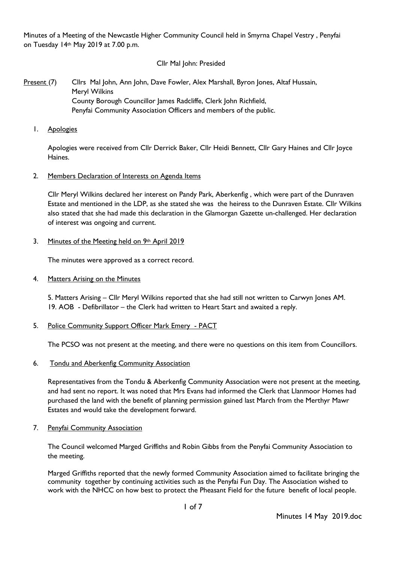Minutes of a Meeting of the Newcastle Higher Community Council held in Smyrna Chapel Vestry , Penyfai on Tuesday 14th May 2019 at 7.00 p.m.

### Cllr Mal John: Presided

# Present (7) Cllrs Mal John, Ann John, Dave Fowler, Alex Marshall, Byron Jones, Altaf Hussain, Meryl Wilkins County Borough Councillor James Radcliffe, Clerk John Richfield, Penyfai Community Association Officers and members of the public.

1. Apologies

Apologies were received from Cllr Derrick Baker, Cllr Heidi Bennett, Cllr Gary Haines and Cllr Joyce Haines.

#### 2. Members Declaration of Interests on Agenda Items

Cllr Meryl Wilkins declared her interest on Pandy Park, Aberkenfig , which were part of the Dunraven Estate and mentioned in the LDP, as she stated she was the heiress to the Dunraven Estate. Cllr Wilkins also stated that she had made this declaration in the Glamorgan Gazette un-challenged. Her declaration of interest was ongoing and current.

#### 3. Minutes of the Meeting held on 9th April 2019

The minutes were approved as a correct record.

4. Matters Arising on the Minutes

5. Matters Arising – Cllr Meryl Wilkins reported that she had still not written to Carwyn Jones AM. 19. AOB - Defibrillator – the Clerk had written to Heart Start and awaited a reply.

5. Police Community Support Officer Mark Emery - PACT

The PCSO was not present at the meeting, and there were no questions on this item from Councillors.

#### 6. Tondu and Aberkenfig Community Association

Representatives from the Tondu & Aberkenfig Community Association were not present at the meeting, and had sent no report. It was noted that Mrs Evans had informed the Clerk that Llanmoor Homes had purchased the land with the benefit of planning permission gained last March from the Merthyr Mawr Estates and would take the development forward.

7. Penyfai Community Association

The Council welcomed Marged Griffiths and Robin Gibbs from the Penyfai Community Association to the meeting.

Marged Griffiths reported that the newly formed Community Association aimed to facilitate bringing the community together by continuing activities such as the Penyfai Fun Day. The Association wished to work with the NHCC on how best to protect the Pheasant Field for the future benefit of local people.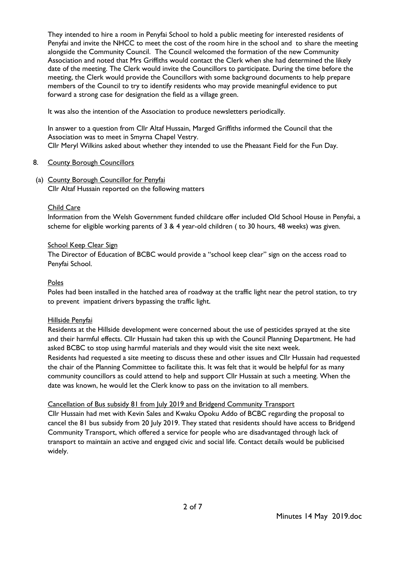They intended to hire a room in Penyfai School to hold a public meeting for interested residents of Penyfai and invite the NHCC to meet the cost of the room hire in the school and to share the meeting alongside the Community Council. The Council welcomed the formation of the new Community Association and noted that Mrs Griffiths would contact the Clerk when she had determined the likely date of the meeting. The Clerk would invite the Councillors to participate. During the time before the meeting, the Clerk would provide the Councillors with some background documents to help prepare members of the Council to try to identify residents who may provide meaningful evidence to put forward a strong case for designation the field as a village green.

It was also the intention of the Association to produce newsletters periodically.

In answer to a question from Cllr Altaf Hussain, Marged Griffiths informed the Council that the Association was to meet in Smyrna Chapel Vestry. Cllr Meryl Wilkins asked about whether they intended to use the Pheasant Field for the Fun Day.

# 8. County Borough Councillors

(a) County Borough Councillor for Penyfai

Cllr Altaf Hussain reported on the following matters

# Child Care

Information from the Welsh Government funded childcare offer included Old School House in Penyfai, a scheme for eligible working parents of 3 & 4 year-old children ( to 30 hours, 48 weeks) was given.

# School Keep Clear Sign

The Director of Education of BCBC would provide a "school keep clear" sign on the access road to Penyfai School.

# Poles

Poles had been installed in the hatched area of roadway at the traffic light near the petrol station, to try to prevent impatient drivers bypassing the traffic light.

### Hillside Penyfai

Residents at the Hillside development were concerned about the use of pesticides sprayed at the site and their harmful effects. Cllr Hussain had taken this up with the Council Planning Department. He had asked BCBC to stop using harmful materials and they would visit the site next week. Residents had requested a site meeting to discuss these and other issues and Cllr Hussain had requested the chair of the Planning Committee to facilitate this. It was felt that it would be helpful for as many community councillors as could attend to help and support Cllr Hussain at such a meeting. When the date was known, he would let the Clerk know to pass on the invitation to all members.

# Cancellation of Bus subsidy 81 from July 2019 and Bridgend Community Transport

Cllr Hussain had met with Kevin Sales and Kwaku Opoku Addo of BCBC regarding the proposal to cancel the 81 bus subsidy from 20 July 2019. They stated that residents should have access to Bridgend Community Transport, which offered a service for people who are disadvantaged through lack of transport to maintain an active and engaged civic and social life. Contact details would be publicised widely.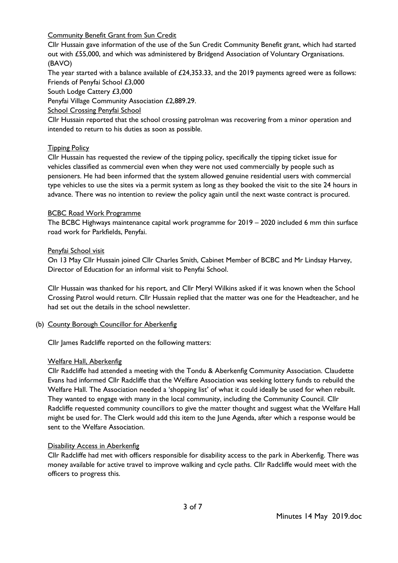Community Benefit Grant from Sun Credit

Cllr Hussain gave information of the use of the Sun Credit Community Benefit grant, which had started out with £55,000, and which was administered by Bridgend Association of Voluntary Organisations. (BAVO)

The year started with a balance available of  $£24,353.33$ , and the 2019 payments agreed were as follows: Friends of Penyfai School £3,000

South Lodge Cattery £3,000

Penyfai Village Community Association £2,889.29.

School Crossing Penyfai School

Cllr Hussain reported that the school crossing patrolman was recovering from a minor operation and intended to return to his duties as soon as possible.

# **Tipping Policy**

Cllr Hussain has requested the review of the tipping policy, specifically the tipping ticket issue for vehicles classified as commercial even when they were not used commercially by people such as pensioners. He had been informed that the system allowed genuine residential users with commercial type vehicles to use the sites via a permit system as long as they booked the visit to the site 24 hours in advance. There was no intention to review the policy again until the next waste contract is procured.

### BCBC Road Work Programme

The BCBC Highways maintenance capital work programme for 2019 – 2020 included 6 mm thin surface road work for Parkfields, Penyfai.

#### Penyfai School visit

On 13 May Cllr Hussain joined Cllr Charles Smith, Cabinet Member of BCBC and Mr Lindsay Harvey, Director of Education for an informal visit to Penyfai School.

Cllr Hussain was thanked for his report, and Cllr Meryl Wilkins asked if it was known when the School Crossing Patrol would return. Cllr Hussain replied that the matter was one for the Headteacher, and he had set out the details in the school newsletter.

### (b) County Borough Councillor for Aberkenfig

Cllr James Radcliffe reported on the following matters:

### Welfare Hall, Aberkenfig

Cllr Radcliffe had attended a meeting with the Tondu & Aberkenfig Community Association. Claudette Evans had informed Cllr Radcliffe that the Welfare Association was seeking lottery funds to rebuild the Welfare Hall. The Association needed a 'shopping list' of what it could ideally be used for when rebuilt. They wanted to engage with many in the local community, including the Community Council. Cllr Radcliffe requested community councillors to give the matter thought and suggest what the Welfare Hall might be used for. The Clerk would add this item to the June Agenda, after which a response would be sent to the Welfare Association.

### Disability Access in Aberkenfig

Cllr Radcliffe had met with officers responsible for disability access to the park in Aberkenfig. There was money available for active travel to improve walking and cycle paths. Cllr Radcliffe would meet with the officers to progress this.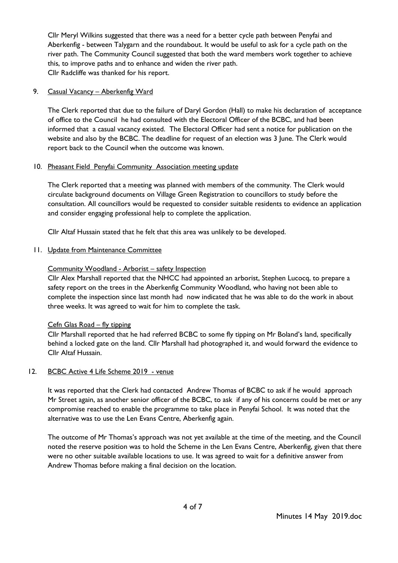Cllr Meryl Wilkins suggested that there was a need for a better cycle path between Penyfai and Aberkenfig - between Talygarn and the roundabout. It would be useful to ask for a cycle path on the river path. The Community Council suggested that both the ward members work together to achieve this, to improve paths and to enhance and widen the river path. Cllr Radcliffe was thanked for his report.

# 9. Casual Vacancy - Aberkenfig Ward

The Clerk reported that due to the failure of Daryl Gordon (Hall) to make his declaration of acceptance of office to the Council he had consulted with the Electoral Officer of the BCBC, and had been informed that a casual vacancy existed. The Electoral Officer had sent a notice for publication on the website and also by the BCBC. The deadline for request of an election was 3 June. The Clerk would report back to the Council when the outcome was known.

# 10. Pheasant Field Penyfai Community Association meeting update

The Clerk reported that a meeting was planned with members of the community. The Clerk would circulate background documents on Village Green Registration to councillors to study before the consultation. All councillors would be requested to consider suitable residents to evidence an application and consider engaging professional help to complete the application.

Cllr Altaf Hussain stated that he felt that this area was unlikely to be developed.

# 11. Update from Maintenance Committee

# Community Woodland - Arborist – safety Inspection

Cllr Alex Marshall reported that the NHCC had appointed an arborist, Stephen Lucocq, to prepare a safety report on the trees in the Aberkenfig Community Woodland, who having not been able to complete the inspection since last month had now indicated that he was able to do the work in about three weeks. It was agreed to wait for him to complete the task.

### Cefn Glas Road – fly tipping

Cllr Marshall reported that he had referred BCBC to some fly tipping on Mr Boland's land, specifically behind a locked gate on the land. Cllr Marshall had photographed it, and would forward the evidence to Cllr Altaf Hussain.

### 12. BCBC Active 4 Life Scheme 2019 - venue

It was reported that the Clerk had contacted Andrew Thomas of BCBC to ask if he would approach Mr Street again, as another senior officer of the BCBC, to ask if any of his concerns could be met or any compromise reached to enable the programme to take place in Penyfai School. It was noted that the alternative was to use the Len Evans Centre, Aberkenfig again.

The outcome of Mr Thomas's approach was not yet available at the time of the meeting, and the Council noted the reserve position was to hold the Scheme in the Len Evans Centre, Aberkenfig, given that there were no other suitable available locations to use. It was agreed to wait for a definitive answer from Andrew Thomas before making a final decision on the location.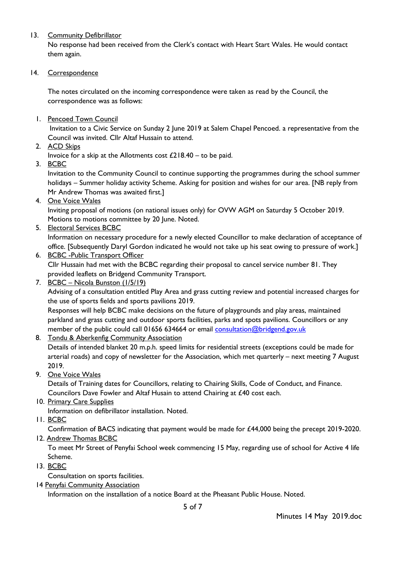# 13. Community Defibrillator

No response had been received from the Clerk's contact with Heart Start Wales. He would contact them again.

### 14. Correspondence

The notes circulated on the incoming correspondence were taken as read by the Council, the correspondence was as follows:

1. Pencoed Town Council

Invitation to a Civic Service on Sunday 2 June 2019 at Salem Chapel Pencoed. a representative from the Council was invited. Cllr Altaf Hussain to attend.

2. ACD Skips

Invoice for a skip at the Allotments cost  $£218.40 -$  to be paid.

3. BCBC

Invitation to the Community Council to continue supporting the programmes during the school summer holidays – Summer holiday activity Scheme. Asking for position and wishes for our area. [NB reply from Mr Andrew Thomas was awaited first.]

4. One Voice Wales

Inviting proposal of motions (on national issues only) for OVW AGM on Saturday 5 October 2019. Motions to motions committee by 20 June. Noted.

5. Electoral Services BCBC

Information on necessary procedure for a newly elected Councillor to make declaration of acceptance of office. [Subsequently Daryl Gordon indicated he would not take up his seat owing to pressure of work.]

- 6. BCBC -Public Transport Officer Cllr Hussain had met with the BCBC regarding their proposal to cancel service number 81. They provided leaflets on Bridgend Community Transport.
- 7. BCBC Nicola Bunston (1/5/19)

Advising of a consultation entitled Play Area and grass cutting review and potential increased charges for the use of sports fields and sports pavilions 2019.

Responses will help BCBC make decisions on the future of playgrounds and play areas, maintained parkland and grass cutting and outdoor sports facilities, parks and spots pavilions. Councillors or any member of the public could call 01656 634664 or email [consultation@bridgend.gov.uk](mailto:consultation@bridgend.gov.uk)

8. Tondu & Aberkenfig Community Association

Details of intended blanket 20 m.p.h. speed limits for residential streets (exceptions could be made for arterial roads) and copy of newsletter for the Association, which met quarterly – next meeting 7 August 2019.

9. One Voice Wales

Details of Training dates for Councillors, relating to Chairing Skills, Code of Conduct, and Finance. Councilors Dave Fowler and Altaf Husain to attend Chairing at £40 cost each.

10. Primary Care Supplies

Information on defibrillator installation. Noted.

11. BCBC

Confirmation of BACS indicating that payment would be made for £44,000 being the precept 2019-2020.

12. Andrew Thomas BCBC

To meet Mr Street of Penyfai School week commencing 15 May, regarding use of school for Active 4 life Scheme.

13. BCBC

Consultation on sports facilities.

14 Penyfai Community Association

Information on the installation of a notice Board at the Pheasant Public House. Noted.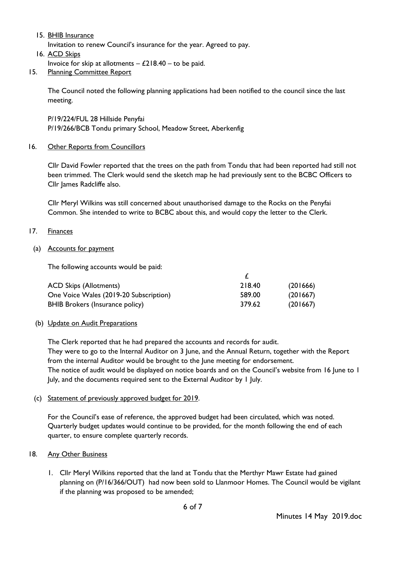15. BHIB Insurance

Invitation to renew Council's insurance for the year. Agreed to pay.

16. ACD Skips

Invoice for skip at allotments  $-$  £218.40 – to be paid.

15. Planning Committee Report

The Council noted the following planning applications had been notified to the council since the last meeting.

P/19/224/FUL 28 Hillside Penyfai P/19/266/BCB Tondu primary School, Meadow Street, Aberkenfig

16. Other Reports from Councillors

Cllr David Fowler reported that the trees on the path from Tondu that had been reported had still not been trimmed. The Clerk would send the sketch map he had previously sent to the BCBC Officers to Cllr James Radcliffe also.

Cllr Meryl Wilkins was still concerned about unauthorised damage to the Rocks on the Penyfai Common. She intended to write to BCBC about this, and would copy the letter to the Clerk.

### 17. Finances

### (a) Accounts for payment

The following accounts would be paid:

| <b>ACD Skips (Allotments)</b>          | 218.40 | (201666) |
|----------------------------------------|--------|----------|
| One Voice Wales (2019-20 Subscription) | 589.00 | (201667) |
| <b>BHIB Brokers (Insurance policy)</b> | 379.62 | (201667) |

### (b) Update on Audit Preparations

The Clerk reported that he had prepared the accounts and records for audit. They were to go to the Internal Auditor on 3 June, and the Annual Return, together with the Report from the internal Auditor would be brought to the June meeting for endorsement. The notice of audit would be displayed on notice boards and on the Council's website from 16 June to 1 July, and the documents required sent to the External Auditor by 1 July.

### (c) Statement of previously approved budget for 2019.

For the Council's ease of reference, the approved budget had been circulated, which was noted. Quarterly budget updates would continue to be provided, for the month following the end of each quarter, to ensure complete quarterly records.

### 18. Any Other Business

1. Cllr Meryl Wilkins reported that the land at Tondu that the Merthyr Mawr Estate had gained planning on (P/16/366/OUT) had now been sold to Llanmoor Homes. The Council would be vigilant if the planning was proposed to be amended;